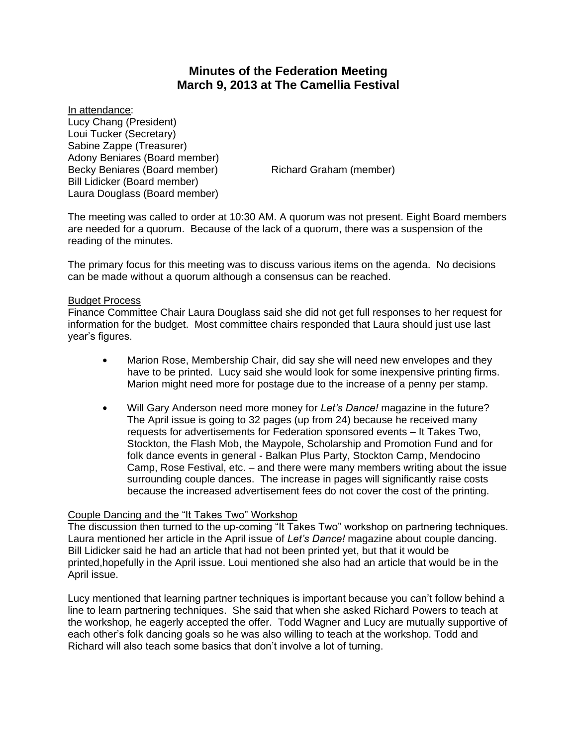# **Minutes of the Federation Meeting March 9, 2013 at The Camellia Festival**

In attendance: Lucy Chang (President) Loui Tucker (Secretary) Sabine Zappe (Treasurer) Adony Beniares (Board member) Becky Beniares (Board member) Richard Graham (member) Bill Lidicker (Board member) Laura Douglass (Board member)

The meeting was called to order at 10:30 AM. A quorum was not present. Eight Board members are needed for a quorum. Because of the lack of a quorum, there was a suspension of the reading of the minutes.

The primary focus for this meeting was to discuss various items on the agenda. No decisions can be made without a quorum although a consensus can be reached.

## Budget Process

Finance Committee Chair Laura Douglass said she did not get full responses to her request for information for the budget. Most committee chairs responded that Laura should just use last year's figures.

- Marion Rose, Membership Chair, did say she will need new envelopes and they have to be printed. Lucy said she would look for some inexpensive printing firms. Marion might need more for postage due to the increase of a penny per stamp.
- \$ Will Gary Anderson need more money for *Let's Dance!* magazine in the future? The April issue is going to 32 pages (up from 24) because he received many requests for advertisements for Federation sponsored events – It Takes Two, Stockton, the Flash Mob, the Maypole, Scholarship and Promotion Fund and for folk dance events in general - Balkan Plus Party, Stockton Camp, Mendocino Camp, Rose Festival, etc. – and there were many members writing about the issue surrounding couple dances. The increase in pages will significantly raise costs because the increased advertisement fees do not cover the cost of the printing.

# Couple Dancing and the "It Takes Two" Workshop

The discussion then turned to the up-coming "It Takes Two" workshop on partnering techniques. Laura mentioned her article in the April issue of *Let's Dance!* magazine about couple dancing. Bill Lidicker said he had an article that had not been printed yet, but that it would be printed,hopefully in the April issue. Loui mentioned she also had an article that would be in the April issue.

Lucy mentioned that learning partner techniques is important because you can't follow behind a line to learn partnering techniques. She said that when she asked Richard Powers to teach at the workshop, he eagerly accepted the offer. Todd Wagner and Lucy are mutually supportive of each other's folk dancing goals so he was also willing to teach at the workshop. Todd and Richard will also teach some basics that don't involve a lot of turning.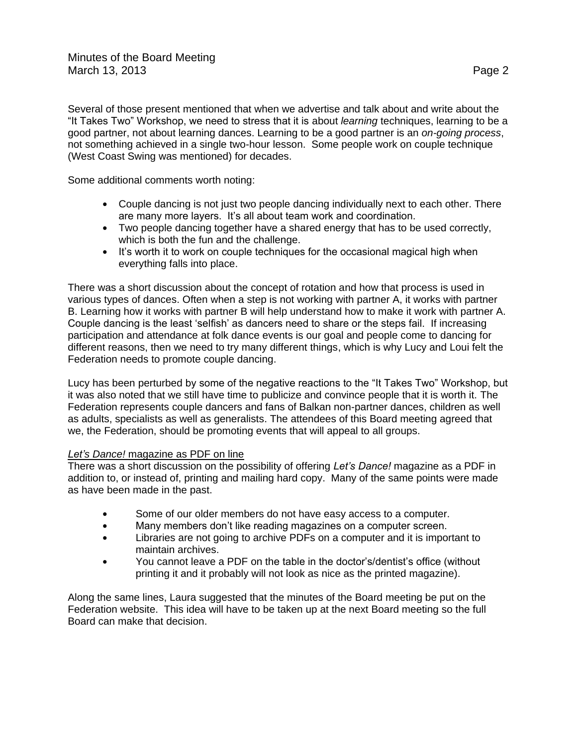Several of those present mentioned that when we advertise and talk about and write about the "It Takes Two" Workshop, we need to stress that it is about *learning* techniques, learning to be a good partner, not about learning dances. Learning to be a good partner is an *on-going process*, not something achieved in a single two-hour lesson. Some people work on couple technique (West Coast Swing was mentioned) for decades.

Some additional comments worth noting:

- Couple dancing is not just two people dancing individually next to each other. There are many more layers. It's all about team work and coordination.
- Two people dancing together have a shared energy that has to be used correctly, which is both the fun and the challenge.
- It's worth it to work on couple techniques for the occasional magical high when everything falls into place.

There was a short discussion about the concept of rotation and how that process is used in various types of dances. Often when a step is not working with partner A, it works with partner B. Learning how it works with partner B will help understand how to make it work with partner A. Couple dancing is the least 'selfish' as dancers need to share or the steps fail. If increasing participation and attendance at folk dance events is our goal and people come to dancing for different reasons, then we need to try many different things, which is why Lucy and Loui felt the Federation needs to promote couple dancing.

Lucy has been perturbed by some of the negative reactions to the "It Takes Two" Workshop, but it was also noted that we still have time to publicize and convince people that it is worth it. The Federation represents couple dancers and fans of Balkan non-partner dances, children as well as adults, specialists as well as generalists. The attendees of this Board meeting agreed that we, the Federation, should be promoting events that will appeal to all groups.

# *Let's Dance!* magazine as PDF on line

There was a short discussion on the possibility of offering *Let's Dance!* magazine as a PDF in addition to, or instead of, printing and mailing hard copy. Many of the same points were made as have been made in the past.

- Some of our older members do not have easy access to a computer.
- $\bullet$  Many members don't like reading magazines on a computer screen.
- Libraries are not going to archive PDFs on a computer and it is important to maintain archives.
- You cannot leave a PDF on the table in the doctor's/dentist's office (without printing it and it probably will not look as nice as the printed magazine).

Along the same lines, Laura suggested that the minutes of the Board meeting be put on the Federation website. This idea will have to be taken up at the next Board meeting so the full Board can make that decision.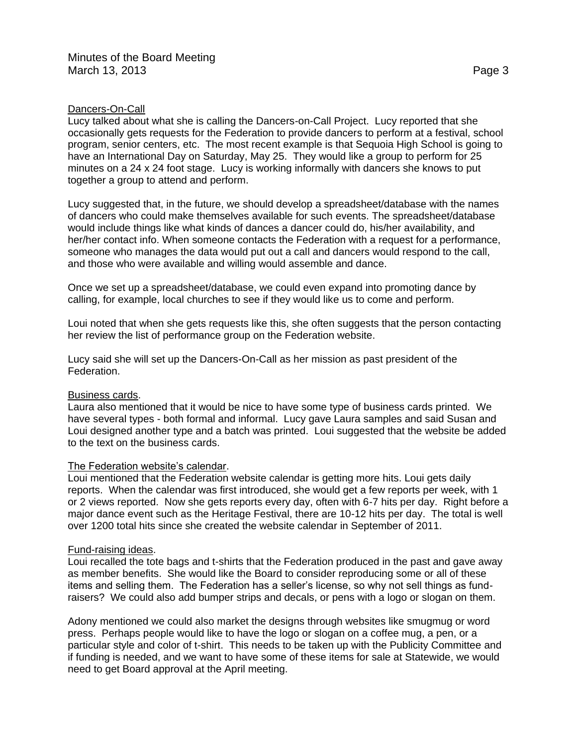## Dancers-On-Call

Lucy talked about what she is calling the Dancers-on-Call Project. Lucy reported that she occasionally gets requests for the Federation to provide dancers to perform at a festival, school program, senior centers, etc. The most recent example is that Sequoia High School is going to have an International Day on Saturday, May 25. They would like a group to perform for 25 minutes on a 24 x 24 foot stage. Lucy is working informally with dancers she knows to put together a group to attend and perform.

Lucy suggested that, in the future, we should develop a spreadsheet/database with the names of dancers who could make themselves available for such events. The spreadsheet/database would include things like what kinds of dances a dancer could do, his/her availability, and her/her contact info. When someone contacts the Federation with a request for a performance, someone who manages the data would put out a call and dancers would respond to the call, and those who were available and willing would assemble and dance.

Once we set up a spreadsheet/database, we could even expand into promoting dance by calling, for example, local churches to see if they would like us to come and perform.

Loui noted that when she gets requests like this, she often suggests that the person contacting her review the list of performance group on the Federation website.

Lucy said she will set up the Dancers-On-Call as her mission as past president of the Federation.

## Business cards.

Laura also mentioned that it would be nice to have some type of business cards printed. We have several types - both formal and informal. Lucy gave Laura samples and said Susan and Loui designed another type and a batch was printed. Loui suggested that the website be added to the text on the business cards.

## The Federation website's calendar.

Loui mentioned that the Federation website calendar is getting more hits. Loui gets daily reports. When the calendar was first introduced, she would get a few reports per week, with 1 or 2 views reported. Now she gets reports every day, often with 6-7 hits per day. Right before a major dance event such as the Heritage Festival, there are 10-12 hits per day. The total is well over 1200 total hits since she created the website calendar in September of 2011.

## Fund-raising ideas.

Loui recalled the tote bags and t-shirts that the Federation produced in the past and gave away as member benefits. She would like the Board to consider reproducing some or all of these items and selling them. The Federation has a seller's license, so why not sell things as fundraisers? We could also add bumper strips and decals, or pens with a logo or slogan on them.

Adony mentioned we could also market the designs through websites like smugmug or word press. Perhaps people would like to have the logo or slogan on a coffee mug, a pen, or a particular style and color of t-shirt. This needs to be taken up with the Publicity Committee and if funding is needed, and we want to have some of these items for sale at Statewide, we would need to get Board approval at the April meeting.